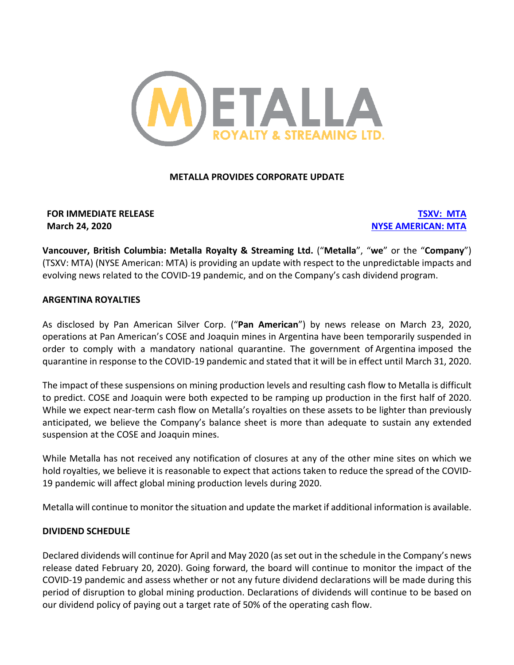

# **METALLA PROVIDES CORPORATE UPDATE**

# **FOR IMMEDIATE RELEASE TSXV: MTA March 24, 2020 NYSE AMERICAN: MTA**

**Vancouver, British Columbia: Metalla Royalty & Streaming Ltd.** ("**Metalla**", "**we**" or the "**Company**") (TSXV: MTA) (NYSE American: MTA) is providing an update with respect to the unpredictable impacts and evolving news related to the COVID-19 pandemic, and on the Company's cash dividend program.

# **ARGENTINA ROYALTIES**

As disclosed by Pan American Silver Corp. ("**Pan American**") by news release on March 23, 2020, operations at Pan American's COSE and Joaquin mines in Argentina have been temporarily suspended in order to comply with a mandatory national quarantine. The government of Argentina imposed the quarantine in response to the COVID-19 pandemic and stated that it will be in effect until March 31, 2020.

The impact of these suspensions on mining production levels and resulting cash flow to Metalla is difficult to predict. COSE and Joaquin were both expected to be ramping up production in the first half of 2020. While we expect near-term cash flow on Metalla's royalties on these assets to be lighter than previously anticipated, we believe the Company's balance sheet is more than adequate to sustain any extended suspension at the COSE and Joaquin mines.

While Metalla has not received any notification of closures at any of the other mine sites on which we hold royalties, we believe it is reasonable to expect that actions taken to reduce the spread of the COVID-19 pandemic will affect global mining production levels during 2020.

Metalla will continue to monitor the situation and update the market if additional information is available.

# **DIVIDEND SCHEDULE**

Declared dividends will continue for April and May 2020 (as set out in the schedule in the Company's news release dated February 20, 2020). Going forward, the board will continue to monitor the impact of the COVID-19 pandemic and assess whether or not any future dividend declarations will be made during this period of disruption to global mining production. Declarations of dividends will continue to be based on our dividend policy of paying out a target rate of 50% of the operating cash flow.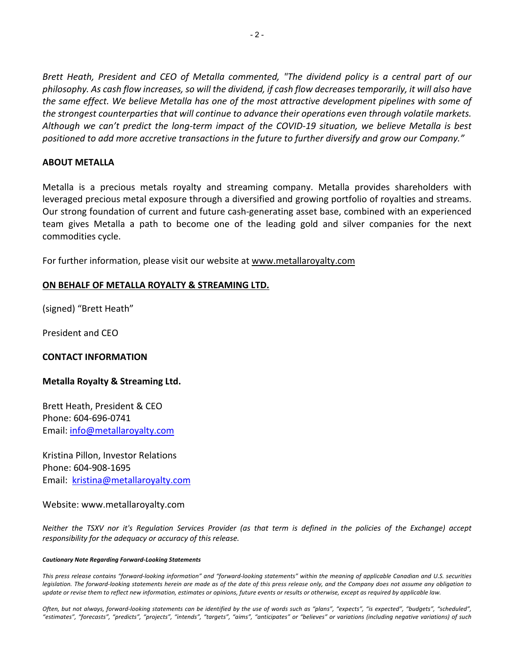*Brett Heath, President and CEO of Metalla commented, "The dividend policy is a central part of our philosophy. As cash flow increases, so will the dividend, if cash flow decreases temporarily, it will also have the same effect. We believe Metalla has one of the most attractive development pipelines with some of the strongest counterparties that will continue to advance their operations even through volatile markets. Although we can't predict the long-term impact of the COVID-19 situation, we believe Metalla is best positioned to add more accretive transactions in the future to further diversify and grow our Company."*

## **ABOUT METALLA**

Metalla is a precious metals royalty and streaming company. Metalla provides shareholders with leveraged precious metal exposure through a diversified and growing portfolio of royalties and streams. Our strong foundation of current and future cash-generating asset base, combined with an experienced team gives Metalla a path to become one of the leading gold and silver companies for the next commodities cycle.

For further information, please visit our website at www.metallaroyalty.com

## **ON BEHALF OF METALLA ROYALTY & STREAMING LTD.**

(signed) "Brett Heath"

President and CEO

# **CONTACT INFORMATION**

### **Metalla Royalty & Streaming Ltd.**

Brett Heath, President & CEO Phone: 604-696-0741 Email: info@metallaroyalty.com

Kristina Pillon, Investor Relations Phone: 604-908-1695 Email: kristina@metallaroyalty.com

### Website: www.metallaroyalty.com

*Neither the TSXV nor it's Regulation Services Provider (as that term is defined in the policies of the Exchange) accept responsibility for the adequacy or accuracy of this release.*

#### *Cautionary Note Regarding Forward-Looking Statements*

*This press release contains "forward-looking information" and "forward-looking statements" within the meaning of applicable Canadian and U.S. securities legislation. The forward-looking statements herein are made as of the date of this press release only, and the Company does not assume any obligation to update or revise them to reflect new information, estimates or opinions, future events or results or otherwise, except as required by applicable law.*

*Often, but not always, forward-looking statements can be identified by the use of words such as "plans", "expects", "is expected", "budgets", "scheduled", "estimates", "forecasts", "predicts", "projects", "intends", "targets", "aims", "anticipates" or "believes" or variations (including negative variations) of such*